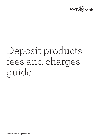

# Deposit products fees and charges guide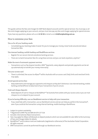This guide outlines the fees and charges for AMP Bank deposit accounts and for special services. You must pay us all fees and charges applying on your account, and you must also pay any fees and charges applying for special services.

If you have any questions, please call us on **13 30 30** or email us on **info@ampbanking.com.au**.

# How to minimise your fees

### Use us for all your banking needs

– Consolidating your banking makes it easier for you to manage your money, move funds around and reduce transaction fees.

### Use internet banking, mobile banking and BankPhone services

- Register for our secure internet and phone banking services.
- There are no bank transaction fees for using these services and you can bank anywhere, anytime. **1**

#### Make the most of automatic payment services

– Transactions such as Pay Anyone transfers, BPAY ® **<sup>2</sup>**payments, salary deposits and periodic payments can be set up automatically to transfer your money more easily.

### Use your access card

– There is unlimited, free access to eftpos**<sup>3</sup>**,**<sup>4</sup>** within Australia with an access card.Daily limits and merchant limits may apply.

### Avoid special service fees

Keep statements and manage your payments and cheques so they don't dishonour. Use internet banking, mobile banking and BankPhone to keep track of your transactions if you're unsure.

### Cash and cheque deposits

– Makedeposits of cash or cheques at Bank@Post™ **<sup>5</sup>** at Australia Post outlets with your access card, or you can mail cheques to us to deposit to your account.

#### If you're having difficulty, use our BankAssist service to help with your transaction

- If you need help with a transaction, use our BankAssist service and we can help you perform the transaction**<sup>6</sup>** , even if you could do the transaction using internet banking, mobile banking or BankPhone.
- 1 Subject to system availability.
- 2 ® Registered to BPAY Pty Ltd ABN 69 079 137 518
- 3 Excludes international eftpos transactions.
- 4 Fees may apply for eftpos withdrawals on deposit products which are not available for sale. Refer to the Summary of Fees and Charges tables for details.
- 5 Bank@Post™ and its device mark are trademarks (registered or otherwise) of the Australian Postal Corporation. All rights reserved.
- 6 BPAY transactions cannot be performed through our BankAssist service.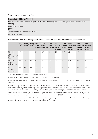## Guide to our transaction fees

| Here's what is FREE with AMP Bank                                                                                   |
|---------------------------------------------------------------------------------------------------------------------|
| Complete these transactions through My AMP (internet banking), mobile banking and BankPhone for fee-free<br>banking |
| Pay anyone transfers                                                                                                |
| <b>BPAY®</b>                                                                                                        |
| Transfers between accounts held with us                                                                             |
| Periodical payments                                                                                                 |

# Summary of fees and charges for deposit products available for sale as new accounts

|                                         | Pay <sup>(i)</sup>   | Bett3r Bett3r Bett3r AMP |     | Spend <sup>(i)</sup> Save <sup>(i)</sup> Access Cash | <b>AMP</b><br><b>Account Manager Account Saver</b> | <b>AMP</b><br>Saver | <b>AMP</b><br><b>Account</b> | <b>Offset</b><br><b>Account Cash</b> | <b>AMP</b><br><b>Account</b> | <b>AMP</b><br><b>Business Deposit SuperEdge SuperEdge SuperEdge</b><br><b>Pension</b><br><b>Account</b> | <b>AMP</b><br><b>Saver</b><br><b>Account</b> |
|-----------------------------------------|----------------------|--------------------------|-----|------------------------------------------------------|----------------------------------------------------|---------------------|------------------------------|--------------------------------------|------------------------------|---------------------------------------------------------------------------------------------------------|----------------------------------------------|
| Monthly<br>Account<br>Management<br>Fee | $$6$ <sup>(ii)</sup> | \$0                      | \$0 | \$0                                                  | $$6$ <sup>(iii)</sup>                              | \$0                 | \$0                          | $50$ <sup>(iv)</sup>                 | \$0                          | $$6^{(v)}$$                                                                                             | \$0                                          |
| Australia<br>eftpos<br>transactions     | Nil                  | Nil                      | n/a | Nil                                                  | Nil                                                | n/a                 | n/a                          | Nil                                  | n/a                          | Nil                                                                                                     | n/a                                          |
| Personal<br>cheque<br>withdrawals       | Nil                  | Nil                      | n/a | Nil                                                  | Nil                                                | n/a                 | n/a                          | Nil                                  | Nil                          | Nil                                                                                                     | n/a                                          |

i. Available for sale and use only as the AMP Bett3r Account

ii. Fee waived for any month in which a minimum of \$2,000 is deposited.

iii. Fee waived if opened through AMP Cash Management Service, or for any month in which a minimum of \$2,000 is deposited.

iv. A \$6 Monthly Account Management Fee is payable where an Offset Deposit Account is linked to a Basic Variable Rate Loan. Where any of the Bett3r Pay, Bett3r Spendor Bett3r Save accounts in a AMP Bett3r Offset Account is linked to a Basic Variable Rate Loan, a \$6 Monthly Account Management Fee will be payable on the Bett3r Pay account.

v. Fee waived if opened through AMP Cash Management Service, or for any month in which a minimum of \$2,000 is deposited, or for any month in which the minimum account balance is \$5,000.

The fees stated are current as at the date of this guide but may change from time to time. We will notify you of changes as required in accordance with the terms and conditions of your account.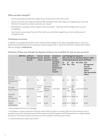# When are fees charged?

- Fees are calculated monthly and charged to your account at the end of the month.
- Special service fees (excluding international ATM withdrawal transaction fees) are charged to your account at the time of transaction or when we process your request.
- ATM operators may apply a direct charge for ATM transactions. These fees will be charged to your account immediately.
- If you have an account open for part of the month, you will not be charged for your first monthly account management fee.

## Overdrawn accounts

In addition to any applicable dishonour fees, interest will be charged on the daily closing debit balance, will accrue daily for the time that the account is overdrawn and be charged on the 1st day of the next month. Details of the interest rates are available at **amp.com.au.**

## Summary of fees and charges for deposit products not available for sale as new accounts

|                                          | <b>AMP First eASYCash</b><br><b>Account</b> |                     |                                         | <b>Transact Transact</b><br>Management Account Account-<br>- Classic Executive <sup>(i)</sup> Account, | Investment<br><b>Builder</b>                                                                         | <b>Cash Management Accounts</b><br>(All-in-One \$0, \$5, \$10 Plans, Options, CMA)<br>eASYLiving Account (S, \$0, \$5, \$10 Plans) |                  |                            |                        |                                                                                                        |
|------------------------------------------|---------------------------------------------|---------------------|-----------------------------------------|--------------------------------------------------------------------------------------------------------|------------------------------------------------------------------------------------------------------|------------------------------------------------------------------------------------------------------------------------------------|------------------|----------------------------|------------------------|--------------------------------------------------------------------------------------------------------|
|                                          |                                             |                     |                                         |                                                                                                        | <b>Founding</b><br><b>Member</b><br>Account,<br><b>Achievement</b><br><b>Share</b><br><b>Account</b> | \$0<br>Plan                                                                                                                        | \$5<br>Plan Plan | \$10                       | <b>ESL S Plan Cash</b> | <b>Management</b><br><b>Account</b><br><b>CMA Select</b><br>Option<br><b>CMA Shareholder</b><br>Option |
| Monthly<br>Account<br>Management<br>Fee  | \$6                                         | \$5                 | \$8                                     | \$0                                                                                                    | \$0                                                                                                  | \$0                                                                                                                                | \$5              | \$10                       | \$5                    | \$0                                                                                                    |
| Included<br>transactions <sup>(ii)</sup> |                                             | Unlimited Unlimited | Limit of<br>5 free<br>per<br>month(iii) | Limit of 8<br>free per<br>month <sup>(iii)</sup>                                                       | Unlimited                                                                                            | None fee                                                                                                                           | \$5 by<br>value  | \$10<br>by<br>fee<br>value | Unlimited None         |                                                                                                        |
| Australia<br>eftpos<br>transactions      | Nil                                         | Nil                 | \$0.65                                  | \$0.65                                                                                                 | n/a                                                                                                  |                                                                                                                                    |                  | \$0.65 \$0.55 \$0.45 Nil   |                        | \$0.65                                                                                                 |
| Personal<br>cheque<br>withdrawals        | Nil                                         | Nil                 | \$1.00                                  | \$1.00                                                                                                 | n/a                                                                                                  |                                                                                                                                    |                  | \$1.00 \$0.70 \$0.60 Nil   |                        | \$1.00                                                                                                 |

i. Only available for Home Loan Packages

ii. Free eftpos or cheque transaction limits per month (either by value or number). After the free transaction limit is reached in any month, individual transaction fees apply and will be charged in the following month as a single Overplan Activity Fee. International eftpos transactions are not included in free transaction limits.

iii. Unused transactions expire each month.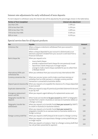# Interest rate adjustments for early withdrawal of term deposits

If a term deposit is withdrawn early, the interest rate will be adjusted by the percentages shown in the table below.

| <b>Portion of Term Completed</b> | Interest rate adjustment |
|----------------------------------|--------------------------|
| Less than 25%                    | $1.50\%$ p.a.            |
| 25% to less than 50%             | $1.25\%$ p.a.            |
| 50% to less than 75%             | $1.00\%$ p.a.            |
| 75% to less than 90%             | $0.50\%$ p.a.            |
| 90% or more                      | $0.25\%$ p.a.            |

# Special service fees for all deposit products

| Fee                                       | Payable                                                                                                                                                                                                                                                                                                         | <b>Amount</b> |
|-------------------------------------------|-----------------------------------------------------------------------------------------------------------------------------------------------------------------------------------------------------------------------------------------------------------------------------------------------------------------|---------------|
| Dishonour fee                             | When a cheque or electronic withdrawal from your account is<br>dishonoured                                                                                                                                                                                                                                      | \$10          |
|                                           | When a cheque deposited to your account is dishonoured, or an<br>electronic payment initiated from your account is sent back from a<br>financial institution                                                                                                                                                    | \$12          |
| Bank cheque fee                           | When you request us to:                                                                                                                                                                                                                                                                                         |               |
|                                           | issue a bank cheque<br>$\overline{\phantom{a}}$<br>provide a replacement bank cheque for one previously issued<br>$\overline{\phantom{m}}$<br>repurchase a bank cheque you no longer require<br>$\overline{\phantom{m}}$<br>arrange to make a bank cheque available for you to collect from<br>a Westpac branch | \$10          |
| International ATM cash<br>withdrawal fee  | When you withdraw from your account at any international ATM                                                                                                                                                                                                                                                    | \$5.50        |
| Currency conversion fee                   | When you use your access card to make a purchase overseas or<br>withdraw from an ATM overseas in a foreign currency and the<br>transaction is converted to Australian dollars                                                                                                                                   | 2.50%         |
|                                           | Deposit special clearance fee When you request us to expedite the clearance of a cheque deposited<br>to your account                                                                                                                                                                                            | \$10          |
| Duplicate statement fee                   | When you request a copy of a previously provided statement to be sent<br>to you by mail                                                                                                                                                                                                                         | \$12          |
| Emergency replacement<br>access card fee  | When you request urgent delivery of a replacement access card                                                                                                                                                                                                                                                   | \$15          |
| Telegraphic transfer fee -<br>deposits    | When funds are transferred to your account (by SWIFT or telegraphic<br>transfer) from a bank in Australia or overseas (in Australian dollars or<br>a foreign currency)                                                                                                                                          | \$10          |
| Telegraphic transfer fee -<br>withdrawals | When you request us to transfer funds from your account (by SWIFT)<br>to a bank in Australia (in Australian dollars)                                                                                                                                                                                            | \$30          |
|                                           | When you request us to transfer funds from your account (by<br>telegraphic transfer) to an overseas bank (in Australian dollars or a<br>foreign currency)                                                                                                                                                       | \$30          |
| Foreign currency draft fee                | When you request a draft (cheque) to be issued in a foreign currency                                                                                                                                                                                                                                            | \$25          |
|                                           | When you request us to repurchase a foreign currency draft that you<br>no longer require                                                                                                                                                                                                                        | \$20          |
|                                           | When you request us to place a 'stop' on a foreign currency draft that<br>has not yet been presented for payment                                                                                                                                                                                                | \$20          |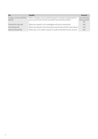| <b>Fee</b>                              | Payable                                                                                                                           | Amount                                  |
|-----------------------------------------|-----------------------------------------------------------------------------------------------------------------------------------|-----------------------------------------|
| Foreign currency draft fee -<br>deposit | When a foreign currency draft (cheque) is received and deposited to<br>your account and must be converted into Australian dollars | Up to \$50 plus<br>overseas bank<br>fee |
| Transaction trace fee                   | When you request us to investigate and trace a transaction                                                                        | \$20                                    |
| Visa dispute fee                        | When you dispute a Visa transaction and we do not find in your favour                                                             | \$25                                    |
| Audit certificate fee                   | When you or an auditor request an audit certificate for your account                                                              | \$25                                    |